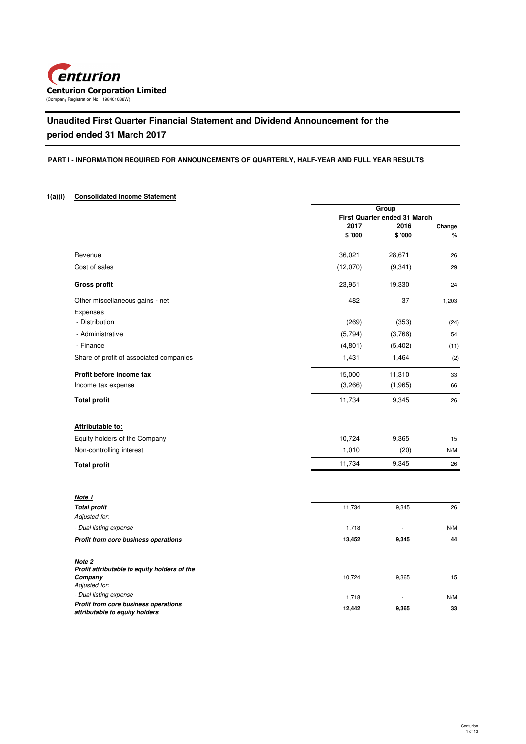

# **Unaudited First Quarter Financial Statement and Dividend Announcement for the period ended 31 March 2017**

## **PART I - INFORMATION REQUIRED FOR ANNOUNCEMENTS OF QUARTERLY, HALF-YEAR AND FULL YEAR RESULTS**

# **1(a)(i) Consolidated Income Statement**

|                                         |          | Group                                |        |
|-----------------------------------------|----------|--------------------------------------|--------|
|                                         | 2017     | First Quarter ended 31 March<br>2016 | Change |
|                                         | \$'000   | \$'000                               | %      |
| Revenue                                 | 36,021   | 28,671                               | 26     |
| Cost of sales                           | (12,070) | (9, 341)                             | 29     |
| <b>Gross profit</b>                     | 23,951   | 19,330                               | 24     |
| Other miscellaneous gains - net         | 482      | 37                                   | 1,203  |
| Expenses                                |          |                                      |        |
| - Distribution                          | (269)    | (353)                                | (24)   |
| - Administrative                        | (5,794)  | (3,766)                              | 54     |
| - Finance                               | (4,801)  | (5, 402)                             | (11)   |
| Share of profit of associated companies | 1,431    | 1,464                                | (2)    |
| Profit before income tax                | 15,000   | 11,310                               | 33     |
| Income tax expense                      | (3,266)  | (1,965)                              | 66     |
| <b>Total profit</b>                     | 11,734   | 9,345                                | 26     |
| Attributable to:                        |          |                                      |        |
| Equity holders of the Company           | 10,724   | 9,365                                | 15     |
| Non-controlling interest                | 1,010    | (20)                                 | N/M    |
| <b>Total profit</b>                     | 11,734   | 9,345                                | 26     |

| Note 1                               |        |       |     |
|--------------------------------------|--------|-------|-----|
| <b>Total profit</b>                  | 11.734 | 9,345 | 26  |
| Adjusted for:                        |        |       |     |
| - Dual listing expense               | 1.718  | ۰     | N/M |
| Profit from core business operations | 13.452 | 9,345 | 44  |

| Note 2                                                                 |        |       |     |
|------------------------------------------------------------------------|--------|-------|-----|
| Profit attributable to equity holders of the                           |        |       |     |
| Company                                                                | 10.724 | 9.365 | 15  |
| Adjusted for:                                                          |        |       |     |
| - Dual listing expense                                                 | 1.718  |       | N/M |
| Profit from core business operations<br>attributable to equity holders | 12.442 | 9.365 | 33  |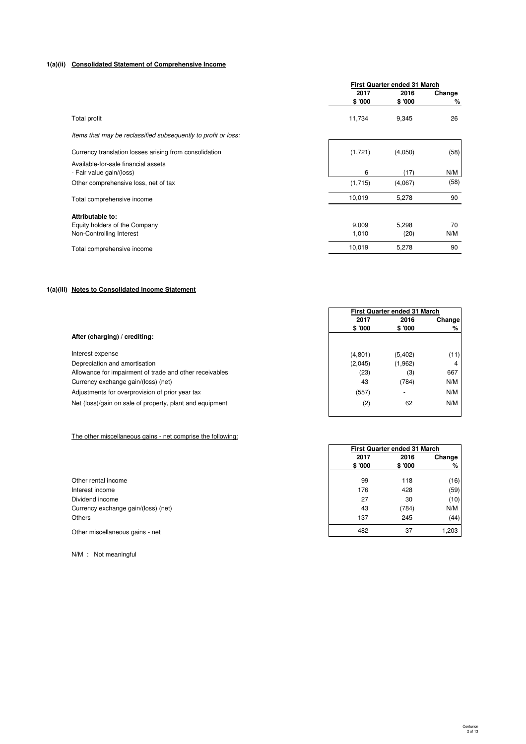# **1(a)(ii) Consolidated Statement of Comprehensive Income**

|                                                                               | First Quarter ended 31 March |                 |             |
|-------------------------------------------------------------------------------|------------------------------|-----------------|-------------|
|                                                                               | 2017<br>\$'000               | 2016<br>\$ '000 | Change<br>% |
| Total profit                                                                  | 11,734                       | 9,345           | 26          |
| Items that may be reclassified subsequently to profit or loss:                |                              |                 |             |
| Currency translation losses arising from consolidation                        | (1,721)                      | (4,050)         | (58)        |
| Available-for-sale financial assets<br>- Fair value gain/(loss)               | 6                            | (17)            | N/M         |
| Other comprehensive loss, net of tax                                          | (1,715)                      | (4,067)         | (58)        |
| Total comprehensive income                                                    | 10,019                       | 5,278           | 90          |
| Attributable to:<br>Equity holders of the Company<br>Non-Controlling Interest | 9,009<br>1,010               | 5,298<br>(20)   | 70<br>N/M   |
| Total comprehensive income                                                    | 10,019                       | 5,278           | 90          |
|                                                                               |                              |                 |             |

# **1(a)(iii) Notes to Consolidated Income Statement**

|                                                          | First Quarter ended 31 March |                          |        |
|----------------------------------------------------------|------------------------------|--------------------------|--------|
|                                                          | 2017                         | 2016                     | Change |
|                                                          | \$ '000                      | \$ '000                  | %      |
| After (charging) / crediting:                            |                              |                          |        |
| Interest expense                                         | (4,801)                      | (5,402)                  | (11)   |
| Depreciation and amortisation                            | (2,045)                      | (1,962)                  | 4      |
| Allowance for impairment of trade and other receivables  | (23)                         | (3)                      | 667    |
| Currency exchange gain/(loss) (net)                      | 43                           | (784)                    | N/M    |
| Adjustments for overprovision of prior year tax          | (557)                        | $\overline{\phantom{a}}$ | N/M    |
| Net (loss)/gain on sale of property, plant and equipment | (2)                          | 62                       | N/M    |
|                                                          |                              |                          |        |

## The other miscellaneous gains - net comprise the following:

| Other rental income                 |
|-------------------------------------|
| Interest income                     |
| Dividend income                     |
| Currency exchange gain/(loss) (net) |
| Others                              |

N/M : Not meaningful

| \$ UUU   | \$ OUU   | ە⁄י |
|----------|----------|-----|
|          |          |     |
| (4, 801) | (5, 402) | (11 |
| (2,045)  | (1, 962) | 4   |
| (23)     | (3)      | 667 |
| 43       | (784)    | N/M |
| (557)    |          | N/M |
| (2)      | 62       | N/M |
|          |          |     |
|          |          |     |
|          |          |     |

|                                     | First Quarter ended 31 March |         |        |
|-------------------------------------|------------------------------|---------|--------|
|                                     | 2017                         | 2016    | Change |
|                                     | \$ '000                      | \$ '000 | %      |
| Other rental income                 | 99                           | 118     | (16)   |
| Interest income                     | 176                          | 428     | (59)   |
| Dividend income                     | 27                           | 30      | (10)   |
| Currency exchange gain/(loss) (net) | 43                           | (784)   | N/M    |
| Others                              | 137                          | 245     | (44)   |
| Other miscellaneous gains - net     | 482                          | 37      | 1,203  |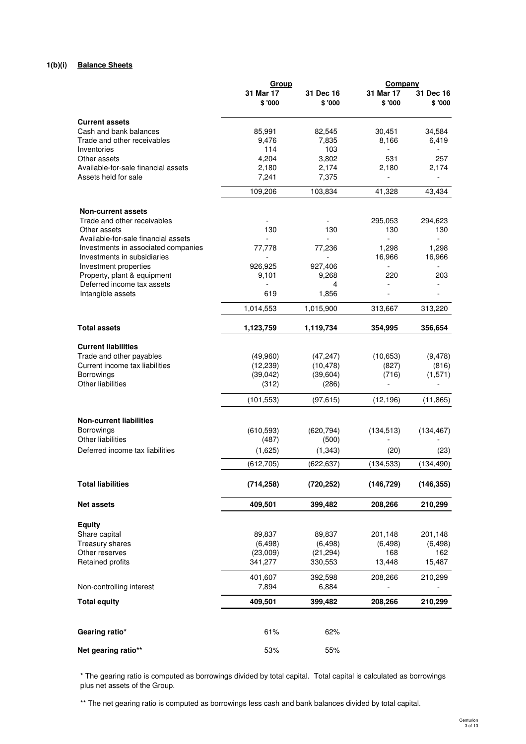# **1(b)(i) Balance Sheets**

|                                                     | Group                |                      | <b>Company</b>      |                      |
|-----------------------------------------------------|----------------------|----------------------|---------------------|----------------------|
|                                                     | 31 Mar 17<br>\$ '000 | 31 Dec 16<br>\$ '000 | 31 Mar 17<br>\$'000 | 31 Dec 16<br>\$ '000 |
| <b>Current assets</b>                               |                      |                      |                     |                      |
| Cash and bank balances                              | 85,991               | 82,545               | 30,451              | 34,584               |
| Trade and other receivables                         | 9,476                | 7,835                | 8,166               | 6,419                |
| Inventories                                         | 114                  | 103                  |                     |                      |
| Other assets                                        | 4,204                | 3,802                | 531                 | 257                  |
| Available-for-sale financial assets                 | 2,180                | 2,174                | 2.180               | 2,174                |
| Assets held for sale                                | 7,241                | 7,375                | $\blacksquare$      |                      |
|                                                     | 109,206              | 103,834              | 41,328              | 43,434               |
| <b>Non-current assets</b>                           |                      |                      |                     |                      |
| Trade and other receivables                         |                      |                      | 295,053             | 294,623              |
| Other assets<br>Available-for-sale financial assets | 130                  | 130                  | 130<br>L.           | 130                  |
| Investments in associated companies                 | 77,778               | 77,236               | 1,298               | 1,298                |
| Investments in subsidiaries                         |                      |                      | 16,966              | 16,966               |
| Investment properties                               | 926,925              | 927,406              |                     |                      |
| Property, plant & equipment                         | 9,101                | 9,268                | 220                 | 203                  |
| Deferred income tax assets                          |                      | 4                    |                     |                      |
| Intangible assets                                   | 619                  | 1,856                |                     |                      |
|                                                     | 1,014,553            | 1,015,900            | 313,667             | 313,220              |
| <b>Total assets</b>                                 | 1,123,759            | 1,119,734            | 354,995             | 356,654              |
| <b>Current liabilities</b>                          |                      |                      |                     |                      |
| Trade and other payables                            | (49,960)             | (47, 247)            | (10,653)            | (9, 478)             |
| Current income tax liabilities                      | (12, 239)            | (10, 478)            | (827)               | (816)                |
| Borrowings                                          | (39,042)             | (39, 604)            | (716)               | (1,571)              |
| Other liabilities                                   | (312)                | (286)                |                     |                      |
|                                                     | (101, 553)           | (97, 615)            | (12, 196)           | (11, 865)            |
| <b>Non-current liabilities</b>                      |                      |                      |                     |                      |
| <b>Borrowings</b>                                   | (610, 593)           | (620, 794)           | (134, 513)          | (134, 467)           |
| Other liabilities                                   | (487)                | (500)                |                     |                      |
| Deferred income tax liabilities                     | (1,625)              | (1, 343)             | (20)                | (23)                 |
|                                                     | (612, 705)           | (622, 637)           | (134, 533)          | (134, 490)           |
| <b>Total liabilities</b>                            | (714, 258)           | (720, 252)           | (146, 729)          | (146, 355)           |
| <b>Net assets</b>                                   | 409,501              | 399,482              | 208,266             | 210,299              |
| <b>Equity</b>                                       |                      |                      |                     |                      |
| Share capital                                       | 89,837               | 89,837               | 201,148             | 201,148              |
| Treasury shares                                     | (6, 498)             | (6, 498)             | (6, 498)            | (6, 498)             |
| Other reserves                                      | (23,009)             | (21, 294)            | 168                 | 162                  |
| Retained profits                                    | 341,277              | 330,553              | 13,448              | 15,487               |
|                                                     | 401,607              | 392,598              | 208,266             | 210,299              |
| Non-controlling interest                            | 7,894                | 6,884                |                     |                      |
| <b>Total equity</b>                                 | 409,501              | 399,482              | 208,266             | 210,299              |
|                                                     |                      |                      |                     |                      |
| Gearing ratio*                                      | 61%                  | 62%                  |                     |                      |
| Net gearing ratio**                                 | 53%                  | 55%                  |                     |                      |

# \* The gearing ratio is computed as borrowings divided by total capital. Total capital is calculated as borrowings plus net assets of the Group.

\*\* The net gearing ratio is computed as borrowings less cash and bank balances divided by total capital.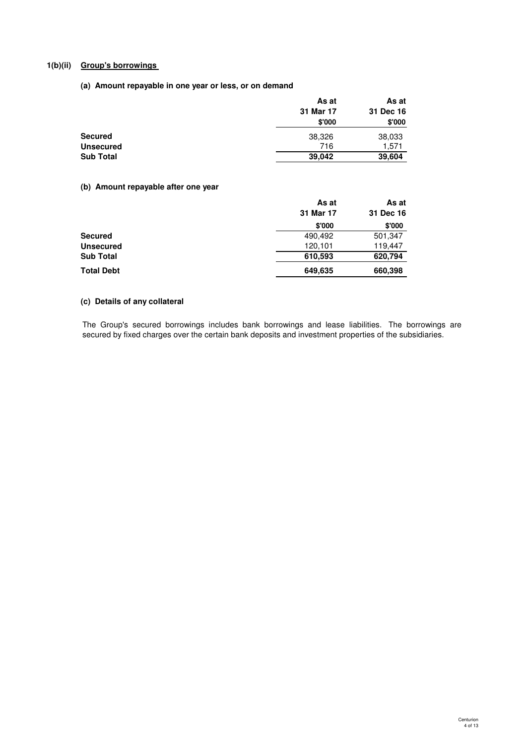# **1(b)(ii) Group's borrowings**

# **(a) Amount repayable in one year or less, or on demand**

|           | As at     |
|-----------|-----------|
| 31 Mar 17 | 31 Dec 16 |
| \$'000    | \$'000    |
| 38,326    | 38,033    |
| 716       | 1,571     |
| 39,042    | 39,604    |
|           | As at     |

# **(b) Amount repayable after one year**

|            | As at     | As at     |
|------------|-----------|-----------|
|            | 31 Mar 17 | 31 Dec 16 |
|            | \$'000    | \$'000    |
| Secured    | 490,492   | 501,347   |
| Unsecured  | 120,101   | 119,447   |
| Sub Total  | 610,593   | 620,794   |
| Total Debt | 649,635   | 660,398   |

# **(c) Details of any collateral**

The Group's secured borrowings includes bank borrowings and lease liabilities. The borrowings are secured by fixed charges over the certain bank deposits and investment properties of the subsidiaries.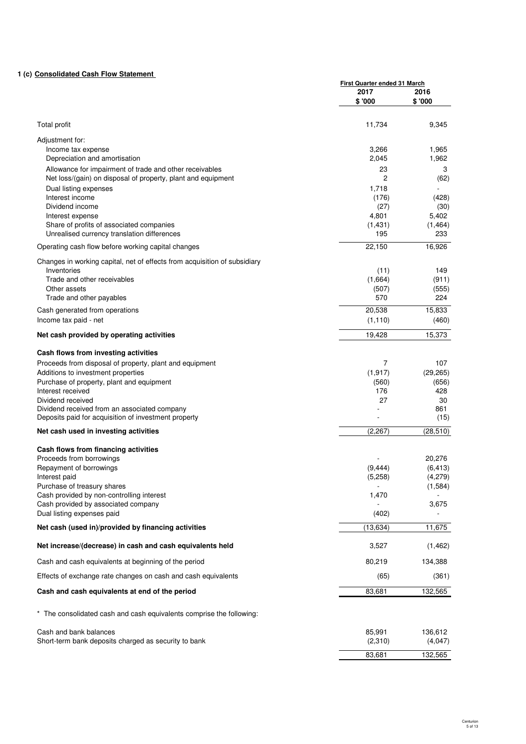# **1 (c) Consolidated Cash Flow Statement**

|                                                                                         | <b>First Quarter ended 31 March</b> |                     |
|-----------------------------------------------------------------------------------------|-------------------------------------|---------------------|
|                                                                                         | 2017<br>\$'000                      | 2016<br>\$'000      |
| Total profit                                                                            | 11,734                              | 9,345               |
| Adjustment for:<br>Income tax expense                                                   | 3,266                               | 1,965               |
| Depreciation and amortisation                                                           | 2,045                               | 1,962               |
| Allowance for impairment of trade and other receivables                                 | 23                                  | 3                   |
| Net loss/(gain) on disposal of property, plant and equipment                            | 2                                   | (62)                |
| Dual listing expenses                                                                   | 1,718                               |                     |
| Interest income                                                                         | (176)                               | (428)               |
| Dividend income                                                                         | (27)                                | (30)                |
| Interest expense                                                                        | 4,801                               | 5,402               |
| Share of profits of associated companies<br>Unrealised currency translation differences | (1, 431)<br>195                     | (1, 464)<br>233     |
| Operating cash flow before working capital changes                                      | 22,150                              | 16,926              |
| Changes in working capital, net of effects from acquisition of subsidiary               |                                     |                     |
| Inventories                                                                             | (11)                                | 149                 |
| Trade and other receivables                                                             | (1,664)                             | (911)               |
| Other assets<br>Trade and other payables                                                | (507)<br>570                        | (555)<br>224        |
| Cash generated from operations                                                          | 20,538                              | 15,833              |
| Income tax paid - net                                                                   | (1, 110)                            | (460)               |
| Net cash provided by operating activities                                               | 19.428                              | 15,373              |
| Cash flows from investing activities                                                    |                                     |                     |
| Proceeds from disposal of property, plant and equipment                                 | 7                                   | 107                 |
| Additions to investment properties                                                      | (1, 917)                            | (29, 265)           |
| Purchase of property, plant and equipment                                               | (560)                               | (656)               |
| Interest received<br>Dividend received                                                  | 176<br>27                           | 428                 |
| Dividend received from an associated company                                            |                                     | 30<br>861           |
| Deposits paid for acquisition of investment property                                    |                                     | (15)                |
| Net cash used in investing activities                                                   | (2, 267)                            | (28, 510)           |
| Cash flows from financing activities                                                    |                                     |                     |
| Proceeds from borrowings                                                                |                                     | 20,276              |
| Repayment of borrowings<br>Interest paid                                                | (9, 444)<br>(5,258)                 | (6, 413)<br>(4,279) |
| Purchase of treasury shares                                                             |                                     | (1, 584)            |
| Cash provided by non-controlling interest                                               | 1,470                               |                     |
| Cash provided by associated company                                                     |                                     | 3,675               |
| Dual listing expenses paid                                                              | (402)                               |                     |
| Net cash (used in)/provided by financing activities                                     | (13, 634)                           | 11,675              |
| Net increase/(decrease) in cash and cash equivalents held                               | 3,527                               | (1, 462)            |
| Cash and cash equivalents at beginning of the period                                    | 80,219                              | 134,388             |
| Effects of exchange rate changes on cash and cash equivalents                           | (65)                                | (361)               |
| Cash and cash equivalents at end of the period                                          | 83,681                              | 132,565             |
| * The consolidated cash and cash equivalents comprise the following:                    |                                     |                     |
| Cash and bank balances                                                                  | 85,991                              | 136,612             |
| Short-term bank deposits charged as security to bank                                    | (2,310)                             | (4,047)             |
|                                                                                         | 83,681                              | 132,565             |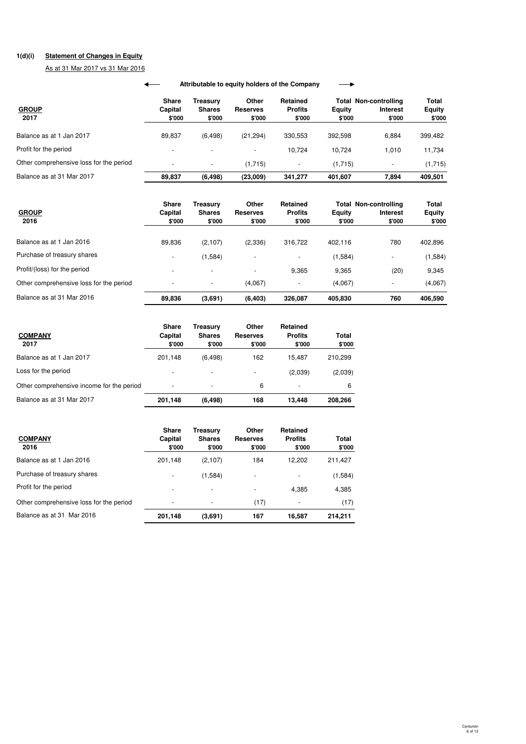# **1(d)(i) Statement of Changes in Equity**

As at 31 Mar 2017 vs 31 Mar 2016

|                                         |                                   |                                     |                                    | Attributable to equity holders of the Company |                         |                                                           |                                  |
|-----------------------------------------|-----------------------------------|-------------------------------------|------------------------------------|-----------------------------------------------|-------------------------|-----------------------------------------------------------|----------------------------------|
| <b>GROUP</b><br>2017                    | <b>Share</b><br>Capital<br>\$'000 | Treasurv<br><b>Shares</b><br>\$'000 | <b>Other</b><br>Reserves<br>\$'000 | Retained<br><b>Profits</b><br>\$'000          | <b>Equity</b><br>\$'000 | <b>Total Non-controlling</b><br><b>Interest</b><br>\$'000 | Total<br><b>Equity</b><br>\$'000 |
| Balance as at 1 Jan 2017                | 89,837                            | (6, 498)                            | (21, 294)                          | 330,553                                       | 392,598                 | 6,884                                                     | 399,482                          |
| Profit for the period                   |                                   |                                     |                                    | 10.724                                        | 10.724                  | 1.010                                                     | 11,734                           |
| Other comprehensive loss for the period |                                   |                                     | (1,715)                            |                                               | (1,715)                 | $\overline{\phantom{a}}$                                  | (1,715)                          |
| Balance as at 31 Mar 2017               | 89,837                            | (6, 498)                            | (23,009)                           | 341.277                                       | 401,607                 | 7,894                                                     | 409,501                          |

| <b>GROUP</b><br>2016                    | <b>Share</b><br>Capital<br>\$'000 | Treasurv<br><b>Shares</b><br>\$'000 | Other<br><b>Reserves</b><br>\$'000 | Retained<br><b>Profits</b><br>\$'000 | <b>Equity</b><br>\$'000 | <b>Total Non-controlling</b><br><b>Interest</b><br>\$'000 | Total<br><b>Equity</b><br>\$'000 |
|-----------------------------------------|-----------------------------------|-------------------------------------|------------------------------------|--------------------------------------|-------------------------|-----------------------------------------------------------|----------------------------------|
| Balance as at 1 Jan 2016                | 89,836                            | (2, 107)                            | (2,336)                            | 316,722                              | 402.116                 | 780                                                       | 402,896                          |
| Purchase of treasury shares             | $\overline{\phantom{0}}$          | (1,584)                             |                                    | -                                    | (1,584)                 | ٠                                                         | (1,584)                          |
| Profit/(loss) for the period            |                                   |                                     |                                    | 9.365                                | 9,365                   | (20)                                                      | 9,345                            |
| Other comprehensive loss for the period |                                   |                                     | (4,067)                            | -                                    | (4.067)                 | ٠                                                         | (4,067)                          |
| Balance as at 31 Mar 2016               | 89,836                            | (3,691)                             | (6, 403)                           | 326,087                              | 405,830                 | 760                                                       | 406,590                          |

| <b>COMPANY</b><br>2017                    | <b>Share</b><br>Capital<br>\$'000 | Treasury<br><b>Shares</b><br>\$'000 | Other<br><b>Reserves</b><br>\$'000 | Retained<br><b>Profits</b><br>\$'000 | Total<br>\$'000 |
|-------------------------------------------|-----------------------------------|-------------------------------------|------------------------------------|--------------------------------------|-----------------|
| Balance as at 1 Jan 2017                  | 201.148                           | (6, 498)                            | 162                                | 15.487                               | 210,299         |
| Loss for the period                       | -                                 | -                                   | -                                  | (2,039)                              | (2,039)         |
| Other comprehensive income for the period |                                   | ٠                                   | 6                                  |                                      | 6               |
| Balance as at 31 Mar 2017                 | 201.148                           | (6, 498)                            | 168                                | 13.448                               | 208.266         |

| <b>COMPANY</b><br>2016                  | <b>Share</b><br>Capital<br>\$'000 | Treasury<br><b>Shares</b><br>\$'000 | Other<br><b>Reserves</b><br>\$'000 | Retained<br><b>Profits</b><br>\$'000 | Total<br>\$'000 |
|-----------------------------------------|-----------------------------------|-------------------------------------|------------------------------------|--------------------------------------|-----------------|
| Balance as at 1 Jan 2016                | 201,148                           | (2,107)                             | 184                                | 12.202                               | 211,427         |
| Purchase of treasury shares             | $\overline{\phantom{a}}$          | (1,584)                             |                                    |                                      | (1,584)         |
| Profit for the period                   | $\overline{\phantom{a}}$          | $\overline{\phantom{a}}$            |                                    | 4.385                                | 4,385           |
| Other comprehensive loss for the period | $\overline{\phantom{a}}$          | $\overline{\phantom{a}}$            | (17)                               | $\overline{\phantom{a}}$             | (17)            |
| Balance as at 31 Mar 2016               | 201,148                           | (3,691)                             | 167                                | 16,587                               | 214.211         |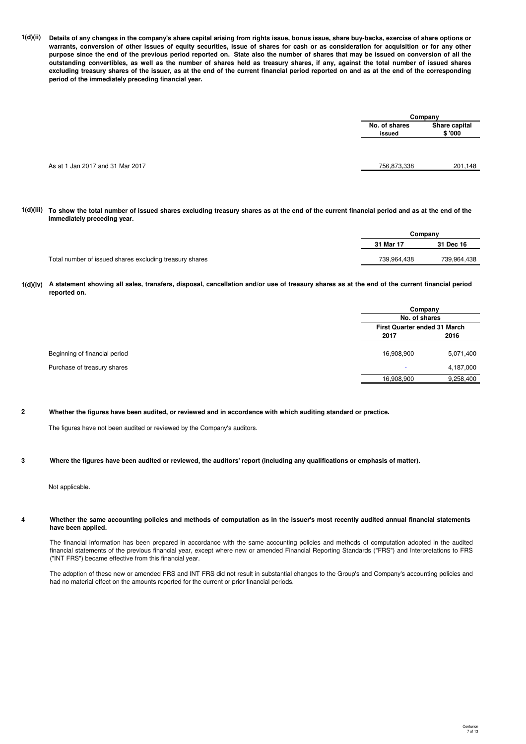**1(d)(ii) Details of any changes in the company's share capital arising from rights issue, bonus issue, share buy-backs, exercise of share options or warrants, conversion of other issues of equity securities, issue of shares for cash or as consideration for acquisition or for any other purpose since the end of the previous period reported on. State also the number of shares that may be issued on conversion of all the outstanding convertibles, as well as the number of shares held as treasury shares, if any, against the total number of issued shares excluding treasury shares of the issuer, as at the end of the current financial period reported on and as at the end of the corresponding period of the immediately preceding financial year.**

|                                  | Company                 |                          |  |
|----------------------------------|-------------------------|--------------------------|--|
|                                  | No. of shares<br>issued | Share capital<br>\$ '000 |  |
|                                  |                         |                          |  |
| As at 1 Jan 2017 and 31 Mar 2017 | 756,873,338             | 201,148                  |  |
|                                  |                         |                          |  |

**1(d)(iii) To show the total number of issued shares excluding treasury shares as at the end of the current financial period and as at the end of the immediately preceding year.**

|                                                         |             | Company     |
|---------------------------------------------------------|-------------|-------------|
|                                                         | 31 Mar 17   | 31 Dec 16   |
| Total number of issued shares excluding treasury shares | 739.964.438 | 739.964.438 |

**1(d)(iv) A statement showing all sales, transfers, disposal, cancellation and/or use of treasury shares as at the end of the current financial period reported on.**

|                               |            | Company                             |  |  |
|-------------------------------|------------|-------------------------------------|--|--|
|                               |            | No. of shares                       |  |  |
|                               |            | <b>First Quarter ended 31 March</b> |  |  |
|                               | 2017       | 2016                                |  |  |
| Beginning of financial period | 16,908,900 | 5,071,400                           |  |  |
| Purchase of treasury shares   | <b>.</b>   | 4,187,000                           |  |  |
|                               | 16,908,900 | 9,258,400                           |  |  |

**2 Whether the figures have been audited, or reviewed and in accordance with which auditing standard or practice.**

The figures have not been audited or reviewed by the Company's auditors.

#### **3 Where the figures have been audited or reviewed, the auditors' report (including any qualifications or emphasis of matter).**

Not applicable.

#### **4 Whether the same accounting policies and methods of computation as in the issuer's most recently audited annual financial statements have been applied.**

The financial information has been prepared in accordance with the same accounting policies and methods of computation adopted in the audited financial statements of the previous financial year, except where new or amended Financial Reporting Standards ("FRS") and Interpretations to FRS ("INT FRS") became effective from this financial year.

The adoption of these new or amended FRS and INT FRS did not result in substantial changes to the Group's and Company's accounting policies and had no material effect on the amounts reported for the current or prior financial periods.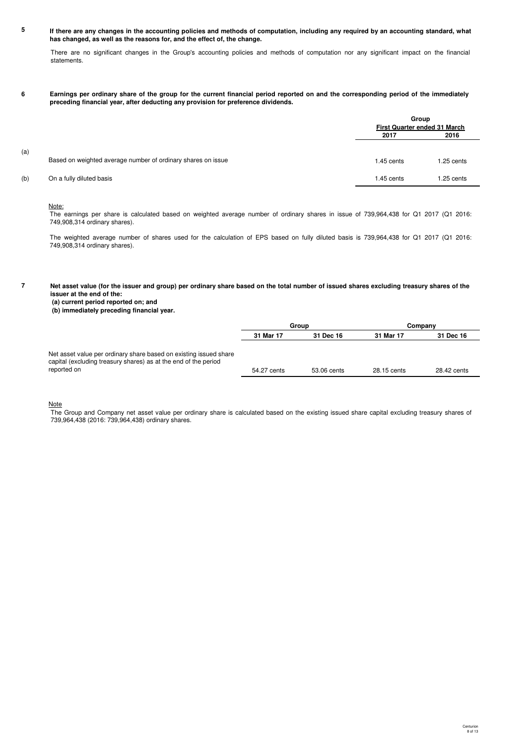**5 If there are any changes in the accounting policies and methods of computation, including any required by an accounting standard, what has changed, as well as the reasons for, and the effect of, the change.**

There are no significant changes in the Group's accounting policies and methods of computation nor any significant impact on the financial statements.

**6 Earnings per ordinary share of the group for the current financial period reported on and the corresponding period of the immediately preceding financial year, after deducting any provision for preference dividends.**

|     |                                                              | Group<br><b>First Quarter ended 31 March</b> |            |  |
|-----|--------------------------------------------------------------|----------------------------------------------|------------|--|
|     |                                                              | 2017                                         | 2016       |  |
| (a) | Based on weighted average number of ordinary shares on issue | 1.45 cents                                   | 1.25 cents |  |
| (b) | On a fully diluted basis                                     | 1.45 cents                                   | 1.25 cents |  |

## Note:

The earnings per share is calculated based on weighted average number of ordinary shares in issue of 739,964,438 for Q1 2017 (Q1 2016: 749,908,314 ordinary shares).

The weighted average number of shares used for the calculation of EPS based on fully diluted basis is 739,964,438 for Q1 2017 (Q1 2016: 749,908,314 ordinary shares).

**7 Net asset value (for the issuer and group) per ordinary share based on the total number of issued shares excluding treasury shares of the issuer at the end of the:**

 **(a) current period reported on; and**

 **(b) immediately preceding financial year.**

|                                                                                                                                                     | Group                  |             | Companv     |             |
|-----------------------------------------------------------------------------------------------------------------------------------------------------|------------------------|-------------|-------------|-------------|
|                                                                                                                                                     | 31 Mar 17<br>31 Dec 16 |             | 31 Mar 17   | 31 Dec 16   |
| Net asset value per ordinary share based on existing issued share<br>capital (excluding treasury shares) as at the end of the period<br>reported on | 54.27 cents            | 53.06 cents | 28.15 cents | 28.42 cents |

Note

The Group and Company net asset value per ordinary share is calculated based on the existing issued share capital excluding treasury shares of 739,964,438 (2016: 739,964,438) ordinary shares.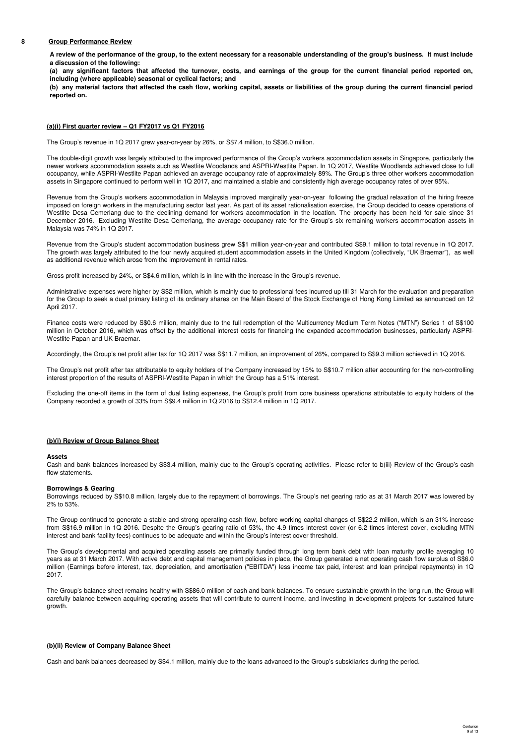### **8 Group Performance Review**

**A review of the performance of the group, to the extent necessary for a reasonable understanding of the group's business. It must include a discussion of the following:**

**(a) any significant factors that affected the turnover, costs, and earnings of the group for the current financial period reported on, including (where applicable) seasonal or cyclical factors; and**

**(b) any material factors that affected the cash flow, working capital, assets or liabilities of the group during the current financial period reported on.**

### **(a)(i) First quarter review – Q1 FY2017 vs Q1 FY2016**

The Group's revenue in 1Q 2017 grew year-on-year by 26%, or S\$7.4 million, to S\$36.0 million.

The double-digit growth was largely attributed to the improved performance of the Group's workers accommodation assets in Singapore, particularly the newer workers accommodation assets such as Westlite Woodlands and ASPRI-Westlite Papan. In 1Q 2017, Westlite Woodlands achieved close to full occupancy, while ASPRI-Westlite Papan achieved an average occupancy rate of approximately 89%. The Group's three other workers accommodation assets in Singapore continued to perform well in 1Q 2017, and maintained a stable and consistently high average occupancy rates of over 95%.

Revenue from the Group's workers accommodation in Malaysia improved marginally year-on-year following the gradual relaxation of the hiring freeze imposed on foreign workers in the manufacturing sector last year. As part of its asset rationalisation exercise, the Group decided to cease operations of Westlite Desa Cemerlang due to the declining demand for workers accommodation in the location. The property has been held for sale since 31 December 2016. Excluding Westlite Desa Cemerlang, the average occupancy rate for the Group's six remaining workers accommodation assets in Malaysia was 74% in 1Q 2017.

Revenue from the Group's student accommodation business grew S\$1 million year-on-year and contributed S\$9.1 million to total revenue in 1Q 2017. The growth was largely attributed to the four newly acquired student accommodation assets in the United Kingdom (collectively, "UK Braemar"), as well as additional revenue which arose from the improvement in rental rates.

Gross profit increased by 24%, or S\$4.6 million, which is in line with the increase in the Group's revenue.

Administrative expenses were higher by S\$2 million, which is mainly due to professional fees incurred up till 31 March for the evaluation and preparation for the Group to seek a dual primary listing of its ordinary shares on the Main Board of the Stock Exchange of Hong Kong Limited as announced on 12 April 2017.

Finance costs were reduced by S\$0.6 million, mainly due to the full redemption of the Multicurrency Medium Term Notes ("MTN") Series 1 of S\$100 million in October 2016, which was offset by the additional interest costs for financing the expanded accommodation businesses, particularly ASPRI-Westlite Papan and UK Braemar.

Accordingly, the Group's net profit after tax for 1Q 2017 was S\$11.7 million, an improvement of 26%, compared to S\$9.3 million achieved in 1Q 2016.

The Group's net profit after tax attributable to equity holders of the Company increased by 15% to S\$10.7 million after accounting for the non-controlling interest proportion of the results of ASPRI-Westlite Papan in which the Group has a 51% interest.

Excluding the one-off items in the form of dual listing expenses, the Group's profit from core business operations attributable to equity holders of the Company recorded a growth of 33% from S\$9.4 million in 1Q 2016 to S\$12.4 million in 1Q 2017.

### **(b)(i) Review of Group Balance Sheet**

### **Assets**

Cash and bank balances increased by S\$3.4 million, mainly due to the Group's operating activities. Please refer to b(iii) Review of the Group's cash flow statements.

### **Borrowings & Gearing**

Borrowings reduced by S\$10.8 million, largely due to the repayment of borrowings. The Group's net gearing ratio as at 31 March 2017 was lowered by 2% to 53%.

The Group continued to generate a stable and strong operating cash flow, before working capital changes of S\$22.2 million, which is an 31% increase from S\$16.9 million in 1Q 2016. Despite the Group's gearing ratio of 53%, the 4.9 times interest cover (or 6.2 times interest cover, excluding MTN interest and bank facility fees) continues to be adequate and within the Group's interest cover threshold.

The Group's developmental and acquired operating assets are primarily funded through long term bank debt with loan maturity profile averaging 10 years as at 31 March 2017. With active debt and capital management policies in place, the Group generated a net operating cash flow surplus of S\$6.0 million (Earnings before interest, tax, depreciation, and amortisation ("EBITDA") less income tax paid, interest and loan principal repayments) in 1Q 2017.

The Group's balance sheet remains healthy with S\$86.0 million of cash and bank balances. To ensure sustainable growth in the long run, the Group will carefully balance between acquiring operating assets that will contribute to current income, and investing in development projects for sustained future growth.

### **(b)(ii) Review of Company Balance Sheet**

Cash and bank balances decreased by S\$4.1 million, mainly due to the loans advanced to the Group's subsidiaries during the period.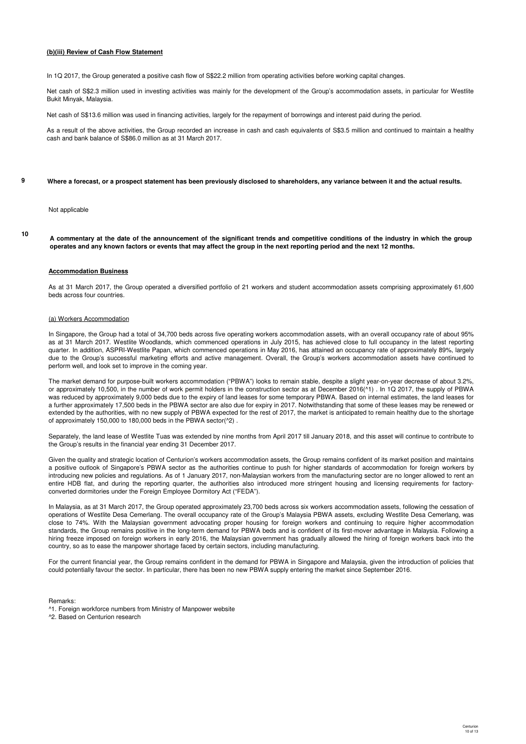### **(b)(iii) Review of Cash Flow Statement**

In 1Q 2017, the Group generated a positive cash flow of S\$22.2 million from operating activities before working capital changes.

Net cash of S\$2.3 million used in investing activities was mainly for the development of the Group's accommodation assets, in particular for Westlite Bukit Minyak, Malaysia.

Net cash of S\$13.6 million was used in financing activities, largely for the repayment of borrowings and interest paid during the period.

As a result of the above activities, the Group recorded an increase in cash and cash equivalents of S\$3.5 million and continued to maintain a healthy cash and bank balance of S\$86.0 million as at 31 March 2017.

#### **9 Where a forecast, or a prospect statement has been previously disclosed to shareholders, any variance between it and the actual results.**

### Not applicable

**10**

**A commentary at the date of the announcement of the significant trends and competitive conditions of the industry in which the group operates and any known factors or events that may affect the group in the next reporting period and the next 12 months.**

### **Accommodation Business**

As at 31 March 2017, the Group operated a diversified portfolio of 21 workers and student accommodation assets comprising approximately 61,600 beds across four countries.

### (a) Workers Accommodation

In Singapore, the Group had a total of 34,700 beds across five operating workers accommodation assets, with an overall occupancy rate of about 95% as at 31 March 2017. Westlite Woodlands, which commenced operations in July 2015, has achieved close to full occupancy in the latest reporting quarter. In addition, ASPRI-Westlite Papan, which commenced operations in May 2016, has attained an occupancy rate of approximately 89%, largely due to the Group's successful marketing efforts and active management. Overall, the Group's workers accommodation assets have continued to perform well, and look set to improve in the coming year.

The market demand for purpose-built workers accommodation ("PBWA") looks to remain stable, despite a slight year-on-year decrease of about 3.2%, or approximately 10,500, in the number of work permit holders in the construction sector as at December 2016(^1) . In 1Q 2017, the supply of PBWA was reduced by approximately 9,000 beds due to the expiry of land leases for some temporary PBWA. Based on internal estimates, the land leases for a further approximately 17,500 beds in the PBWA sector are also due for expiry in 2017. Notwithstanding that some of these leases may be renewed or extended by the authorities, with no new supply of PBWA expected for the rest of 2017, the market is anticipated to remain healthy due to the shortage of approximately 150,000 to 180,000 beds in the PBWA sector(^2) .

Separately, the land lease of Westlite Tuas was extended by nine months from April 2017 till January 2018, and this asset will continue to contribute to the Group's results in the financial year ending 31 December 2017.

Given the quality and strategic location of Centurion's workers accommodation assets, the Group remains confident of its market position and maintains a positive outlook of Singapore's PBWA sector as the authorities continue to push for higher standards of accommodation for foreign workers by introducing new policies and regulations. As of 1 January 2017, non-Malaysian workers from the manufacturing sector are no longer allowed to rent an entire HDB flat, and during the reporting quarter, the authorities also introduced more stringent housing and licensing requirements for factoryconverted dormitories under the Foreign Employee Dormitory Act ("FEDA").

In Malaysia, as at 31 March 2017, the Group operated approximately 23,700 beds across six workers accommodation assets, following the cessation of operations of Westlite Desa Cemerlang. The overall occupancy rate of the Group's Malaysia PBWA assets, excluding Westlite Desa Cemerlang, was close to 74%. With the Malaysian government advocating proper housing for foreign workers and continuing to require higher accommodation standards, the Group remains positive in the long-term demand for PBWA beds and is confident of its first-mover advantage in Malaysia. Following a hiring freeze imposed on foreign workers in early 2016, the Malaysian government has gradually allowed the hiring of foreign workers back into the country, so as to ease the manpower shortage faced by certain sectors, including manufacturing.

For the current financial year, the Group remains confident in the demand for PBWA in Singapore and Malaysia, given the introduction of policies that could potentially favour the sector. In particular, there has been no new PBWA supply entering the market since September 2016.

### Remarks:

- ^1. Foreign workforce numbers from Ministry of Manpower website
- ^2. Based on Centurion research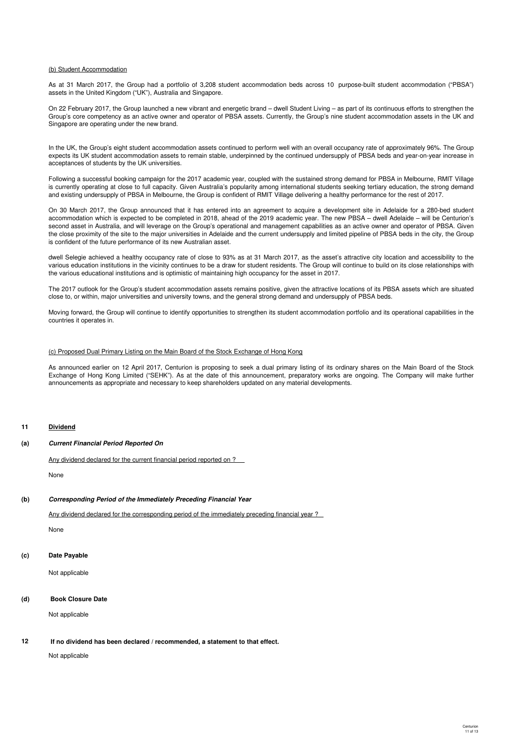### (b) Student Accommodation

As at 31 March 2017, the Group had a portfolio of 3,208 student accommodation beds across 10 purpose-built student accommodation ("PBSA") assets in the United Kingdom ("UK"), Australia and Singapore.

On 22 February 2017, the Group launched a new vibrant and energetic brand – dwell Student Living – as part of its continuous efforts to strengthen the Group's core competency as an active owner and operator of PBSA assets. Currently, the Group's nine student accommodation assets in the UK and Singapore are operating under the new brand.

In the UK, the Group's eight student accommodation assets continued to perform well with an overall occupancy rate of approximately 96%. The Group expects its UK student accommodation assets to remain stable, underpinned by the continued undersupply of PBSA beds and year-on-year increase in acceptances of students by the UK universities.

Following a successful booking campaign for the 2017 academic year, coupled with the sustained strong demand for PBSA in Melbourne, RMIT Village is currently operating at close to full capacity. Given Australia's popularity among international students seeking tertiary education, the strong demand and existing undersupply of PBSA in Melbourne, the Group is confident of RMIT Village delivering a healthy performance for the rest of 2017.

On 30 March 2017, the Group announced that it has entered into an agreement to acquire a development site in Adelaide for a 280-bed student accommodation which is expected to be completed in 2018, ahead of the 2019 academic year. The new PBSA – dwell Adelaide – will be Centurion's second asset in Australia, and will leverage on the Group's operational and management capabilities as an active owner and operator of PBSA. Given the close proximity of the site to the major universities in Adelaide and the current undersupply and limited pipeline of PBSA beds in the city, the Group is confident of the future performance of its new Australian asset.

dwell Selegie achieved a healthy occupancy rate of close to 93% as at 31 March 2017, as the asset's attractive city location and accessibility to the various education institutions in the vicinity continues to be a draw for student residents. The Group will continue to build on its close relationships with the various educational institutions and is optimistic of maintaining high occupancy for the asset in 2017.

The 2017 outlook for the Group's student accommodation assets remains positive, given the attractive locations of its PBSA assets which are situated close to, or within, major universities and university towns, and the general strong demand and undersupply of PBSA beds.

Moving forward, the Group will continue to identify opportunities to strengthen its student accommodation portfolio and its operational capabilities in the countries it operates in.

### (c) Proposed Dual Primary Listing on the Main Board of the Stock Exchange of Hong Kong

As announced earlier on 12 April 2017, Centurion is proposing to seek a dual primary listing of its ordinary shares on the Main Board of the Stock Exchange of Hong Kong Limited ("SEHK"). As at the date of this announcement, preparatory works are ongoing. The Company will make further announcements as appropriate and necessary to keep shareholders updated on any material developments.

### **11 Dividend**

### **(a) Current Financial Period Reported On**

Any dividend declared for the current financial period reported on ?

None

### **(b) Corresponding Period of the Immediately Preceding Financial Year**

Any dividend declared for the corresponding period of the immediately preceding financial year ?

None

### **(c) Date Payable**

Not applicable

### **(d) Book Closure Date**

Not applicable

#### **12 If no dividend has been declared / recommended, a statement to that effect.**

Not applicable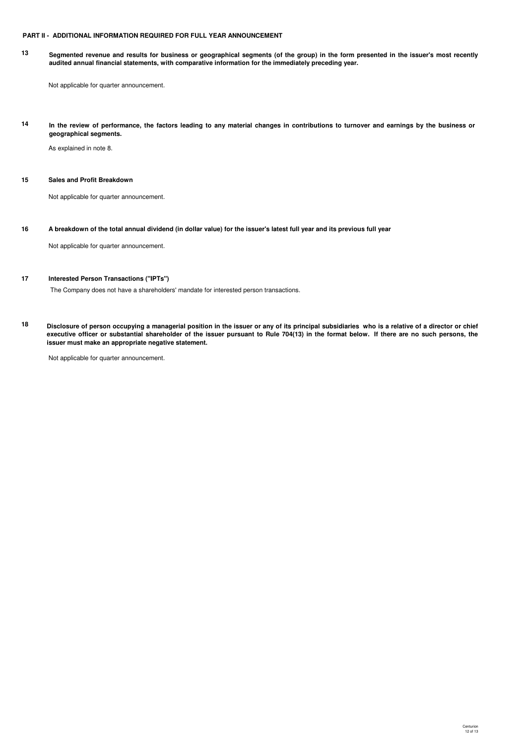## **PART II - ADDITIONAL INFORMATION REQUIRED FOR FULL YEAR ANNOUNCEMENT**

**13 Segmented revenue and results for business or geographical segments (of the group) in the form presented in the issuer's most recently audited annual financial statements, with comparative information for the immediately preceding year.**

Not applicable for quarter announcement.

**14 In the review of performance, the factors leading to any material changes in contributions to turnover and earnings by the business or geographical segments.**

As explained in note 8.

## **15 Sales and Profit Breakdown**

Not applicable for quarter announcement.

**16 A breakdown of the total annual dividend (in dollar value) for the issuer's latest full year and its previous full year**

Not applicable for quarter announcement.

### **17 Interested Person Transactions ("IPTs")**

The Company does not have a shareholders' mandate for interested person transactions.

**18 Disclosure of person occupying a managerial position in the issuer or any of its principal subsidiaries who is a relative of a director or chief executive officer or substantial shareholder of the issuer pursuant to Rule 704(13) in the format below. If there are no such persons, the issuer must make an appropriate negative statement.**

Not applicable for quarter announcement.